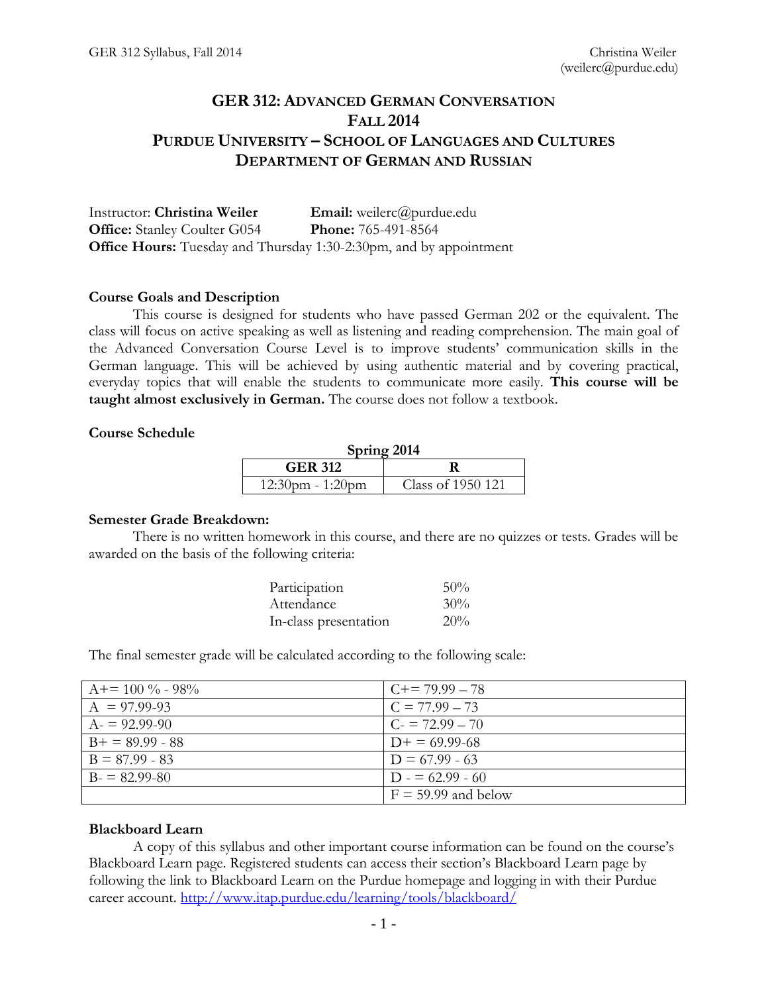## **GER 312: ADVANCED GERMAN CONVERSATION FALL 2014 PURDUE UNIVERSITY – SCHOOL OF LANGUAGES AND CULTURES DEPARTMENT OF GERMAN AND RUSSIAN**

Instructor: **Christina Weiler Email:** weilerc@purdue.edu **Office:** Stanley Coulter G054 **Phone:** 765-491-8564 **Office Hours:** Tuesday and Thursday 1:30-2:30pm, and by appointment

## **Course Goals and Description**

This course is designed for students who have passed German 202 or the equivalent. The class will focus on active speaking as well as listening and reading comprehension. The main goal of the Advanced Conversation Course Level is to improve students' communication skills in the German language. This will be achieved by using authentic material and by covering practical, everyday topics that will enable the students to communicate more easily. **This course will be taught almost exclusively in German.** The course does not follow a textbook.

## **Course Schedule**

| Spring 2014         |                   |  |
|---------------------|-------------------|--|
| <b>GER 312</b>      |                   |  |
| $12:30$ pm - 1:20pm | Class of 1950 121 |  |

#### **Semester Grade Breakdown:**

There is no written homework in this course, and there are no quizzes or tests. Grades will be awarded on the basis of the following criteria:

| Participation         | $50\%$ |
|-----------------------|--------|
| Attendance            | 30%    |
| In-class presentation | 20%    |

The final semester grade will be calculated according to the following scale:

| $A+=100\% - 98\%$ | $C+= 79.99 - 78$      |
|-------------------|-----------------------|
| $A = 97.99-93$    | $C = 77.99 - 73$      |
| $A = 92.99 - 90$  | $C = 72.99 - 70$      |
| $B+ = 89.99 - 88$ | $D_{+} = 69.99 - 68$  |
| $B = 87.99 - 83$  | $D = 67.99 - 63$      |
| $B = 82.99 - 80$  | $D = 62.99 - 60$      |
|                   | $F = 59.99$ and below |

## **Blackboard Learn**

A copy of this syllabus and other important course information can be found on the course's Blackboard Learn page. Registered students can access their section's Blackboard Learn page by following the link to Blackboard Learn on the Purdue homepage and logging in with their Purdue career account.<http://www.itap.purdue.edu/learning/tools/blackboard/>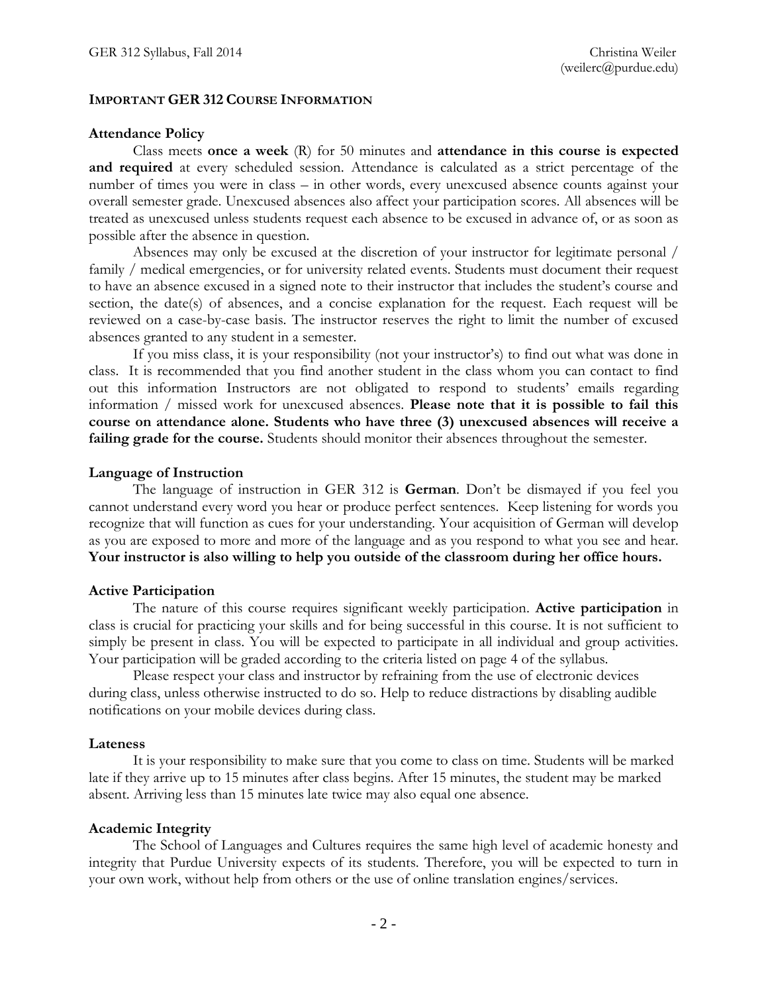## **IMPORTANT GER 312 COURSE INFORMATION**

#### **Attendance Policy**

Class meets **once a week** (R) for 50 minutes and **attendance in this course is expected and required** at every scheduled session. Attendance is calculated as a strict percentage of the number of times you were in class – in other words, every unexcused absence counts against your overall semester grade. Unexcused absences also affect your participation scores. All absences will be treated as unexcused unless students request each absence to be excused in advance of, or as soon as possible after the absence in question.

Absences may only be excused at the discretion of your instructor for legitimate personal / family / medical emergencies, or for university related events. Students must document their request to have an absence excused in a signed note to their instructor that includes the student's course and section, the date(s) of absences, and a concise explanation for the request. Each request will be reviewed on a case-by-case basis. The instructor reserves the right to limit the number of excused absences granted to any student in a semester.

If you miss class, it is your responsibility (not your instructor's) to find out what was done in class. It is recommended that you find another student in the class whom you can contact to find out this information Instructors are not obligated to respond to students' emails regarding information / missed work for unexcused absences. **Please note that it is possible to fail this course on attendance alone. Students who have three (3) unexcused absences will receive a failing grade for the course.** Students should monitor their absences throughout the semester.

## **Language of Instruction**

The language of instruction in GER 312 is **German**. Don't be dismayed if you feel you cannot understand every word you hear or produce perfect sentences. Keep listening for words you recognize that will function as cues for your understanding. Your acquisition of German will develop as you are exposed to more and more of the language and as you respond to what you see and hear. **Your instructor is also willing to help you outside of the classroom during her office hours.**

## **Active Participation**

The nature of this course requires significant weekly participation. **Active participation** in class is crucial for practicing your skills and for being successful in this course. It is not sufficient to simply be present in class. You will be expected to participate in all individual and group activities. Your participation will be graded according to the criteria listed on page 4 of the syllabus.

Please respect your class and instructor by refraining from the use of electronic devices during class, unless otherwise instructed to do so. Help to reduce distractions by disabling audible notifications on your mobile devices during class.

#### **Lateness**

It is your responsibility to make sure that you come to class on time. Students will be marked late if they arrive up to 15 minutes after class begins. After 15 minutes, the student may be marked absent. Arriving less than 15 minutes late twice may also equal one absence.

## **Academic Integrity**

The School of Languages and Cultures requires the same high level of academic honesty and integrity that Purdue University expects of its students. Therefore, you will be expected to turn in your own work, without help from others or the use of online translation engines/services.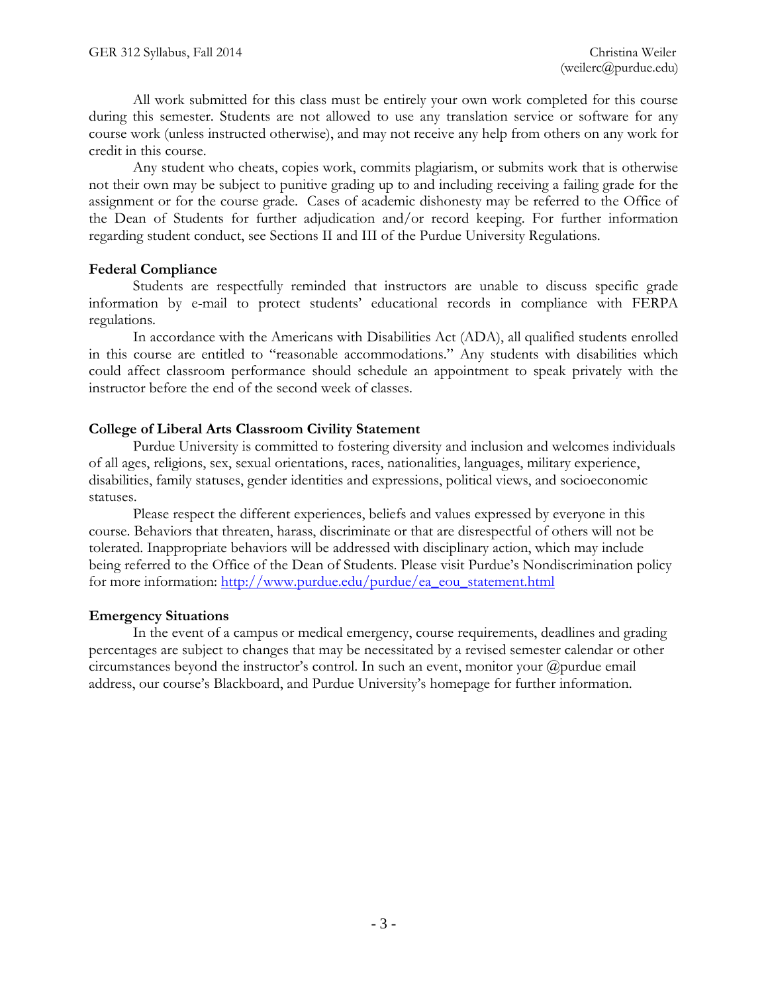All work submitted for this class must be entirely your own work completed for this course during this semester. Students are not allowed to use any translation service or software for any course work (unless instructed otherwise), and may not receive any help from others on any work for credit in this course.

Any student who cheats, copies work, commits plagiarism, or submits work that is otherwise not their own may be subject to punitive grading up to and including receiving a failing grade for the assignment or for the course grade. Cases of academic dishonesty may be referred to the Office of the Dean of Students for further adjudication and/or record keeping. For further information regarding student conduct, see Sections II and III of the Purdue University Regulations.

## **Federal Compliance**

Students are respectfully reminded that instructors are unable to discuss specific grade information by e-mail to protect students' educational records in compliance with FERPA regulations.

In accordance with the Americans with Disabilities Act (ADA), all qualified students enrolled in this course are entitled to "reasonable accommodations." Any students with disabilities which could affect classroom performance should schedule an appointment to speak privately with the instructor before the end of the second week of classes.

## **College of Liberal Arts Classroom Civility Statement**

Purdue University is committed to fostering diversity and inclusion and welcomes individuals of all ages, religions, sex, sexual orientations, races, nationalities, languages, military experience, disabilities, family statuses, gender identities and expressions, political views, and socioeconomic statuses.

Please respect the different experiences, beliefs and values expressed by everyone in this course. Behaviors that threaten, harass, discriminate or that are disrespectful of others will not be tolerated. Inappropriate behaviors will be addressed with disciplinary action, which may include being referred to the Office of the Dean of Students. Please visit Purdue's Nondiscrimination policy for more information: [http://www.purdue.edu/purdue/ea\\_eou\\_statement.html](http://www.purdue.edu/purdue/ea_eou_statement.html)

## **Emergency Situations**

In the event of a campus or medical emergency, course requirements, deadlines and grading percentages are subject to changes that may be necessitated by a revised semester calendar or other circumstances beyond the instructor's control. In such an event, monitor your  $@p$ urdue email address, our course's Blackboard, and Purdue University's homepage for further information.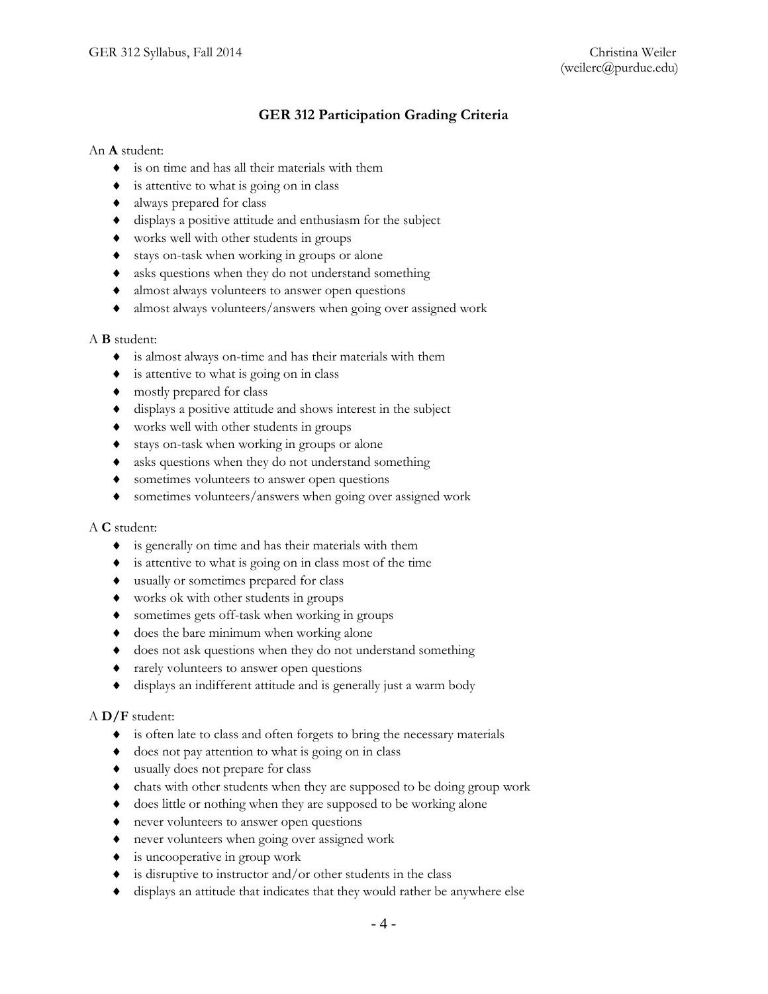## **GER 312 Participation Grading Criteria**

## An **A** student:

- is on time and has all their materials with them
- $\bullet$  is attentive to what is going on in class
- always prepared for class
- displays a positive attitude and enthusiasm for the subject
- works well with other students in groups
- stays on-task when working in groups or alone
- asks questions when they do not understand something
- almost always volunteers to answer open questions
- almost always volunteers/answers when going over assigned work

## A **B** student:

- is almost always on-time and has their materials with them
- $\bullet$  is attentive to what is going on in class
- mostly prepared for class
- displays a positive attitude and shows interest in the subject
- works well with other students in groups
- stays on-task when working in groups or alone
- asks questions when they do not understand something
- sometimes volunteers to answer open questions
- sometimes volunteers/answers when going over assigned work

#### A **C** student:

- is generally on time and has their materials with them
- $\bullet$  is attentive to what is going on in class most of the time
- usually or sometimes prepared for class
- works ok with other students in groups
- sometimes gets off-task when working in groups
- does the bare minimum when working alone
- $\bullet$  does not ask questions when they do not understand something
- rarely volunteers to answer open questions
- displays an indifferent attitude and is generally just a warm body

#### A **D/F** student:

- is often late to class and often forgets to bring the necessary materials
- $\bullet$  does not pay attention to what is going on in class
- usually does not prepare for class
- chats with other students when they are supposed to be doing group work
- does little or nothing when they are supposed to be working alone
- never volunteers to answer open questions
- never volunteers when going over assigned work
- is uncooperative in group work
- $\bullet$  is disruptive to instructor and/or other students in the class
- displays an attitude that indicates that they would rather be anywhere else